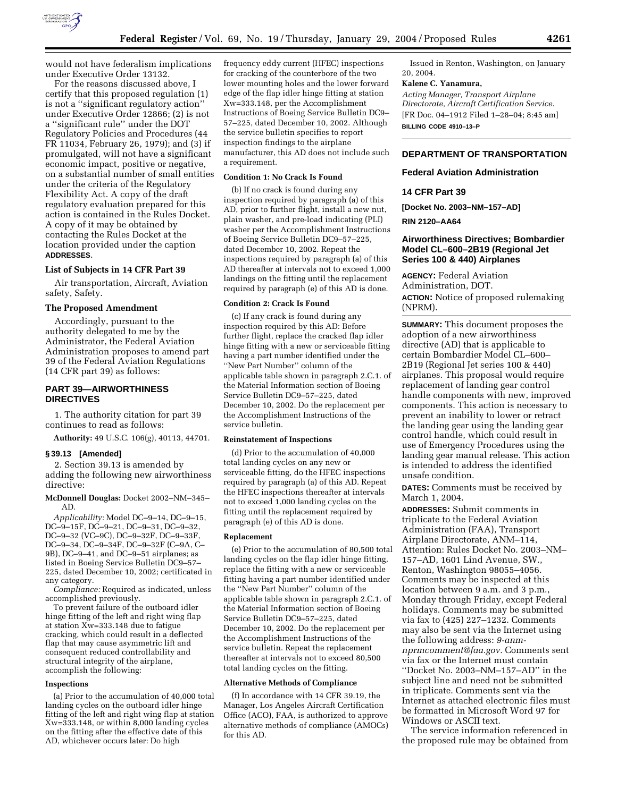

would not have federalism implications under Executive Order 13132.

For the reasons discussed above, I certify that this proposed regulation (1) is not a ''significant regulatory action'' under Executive Order 12866; (2) is not a ''significant rule'' under the DOT Regulatory Policies and Procedures (44 FR 11034, February 26, 1979); and (3) if promulgated, will not have a significant economic impact, positive or negative, on a substantial number of small entities under the criteria of the Regulatory Flexibility Act. A copy of the draft regulatory evaluation prepared for this action is contained in the Rules Docket. A copy of it may be obtained by contacting the Rules Docket at the location provided under the caption **ADDRESSES**.

## **List of Subjects in 14 CFR Part 39**

Air transportation, Aircraft, Aviation safety, Safety.

# **The Proposed Amendment**

Accordingly, pursuant to the authority delegated to me by the Administrator, the Federal Aviation Administration proposes to amend part 39 of the Federal Aviation Regulations (14 CFR part 39) as follows:

## **PART 39—AIRWORTHINESS DIRECTIVES**

1. The authority citation for part 39 continues to read as follows:

**Authority:** 49 U.S.C. 106(g), 40113, 44701.

## **§ 39.13 [Amended]**

2. Section 39.13 is amended by adding the following new airworthiness directive:

#### **McDonnell Douglas:** Docket 2002–NM–345– AD.

*Applicability:* Model DC–9–14, DC–9–15, DC–9–15F, DC–9–21, DC–9–31, DC–9–32, DC–9–32 (VC–9C), DC–9–32F, DC–9–33F, DC–9–34, DC–9–34F, DC–9–32F (C–9A, C– 9B), DC–9–41, and DC–9–51 airplanes; as listed in Boeing Service Bulletin DC9–57– 225, dated December 10, 2002; certificated in any category.

*Compliance:* Required as indicated, unless accomplished previously.

To prevent failure of the outboard idler hinge fitting of the left and right wing flap at station Xw=333.148 due to fatigue cracking, which could result in a deflected flap that may cause asymmetric lift and consequent reduced controllability and structural integrity of the airplane, accomplish the following:

#### **Inspections**

(a) Prior to the accumulation of 40,000 total landing cycles on the outboard idler hinge fitting of the left and right wing flap at station Xw=333.148, or within 8,000 landing cycles on the fitting after the effective date of this AD, whichever occurs later: Do high

frequency eddy current (HFEC) inspections for cracking of the counterbore of the two lower mounting holes and the lower forward edge of the flap idler hinge fitting at station Xw=333.148, per the Accomplishment Instructions of Boeing Service Bulletin DC9– 57–225, dated December 10, 2002. Although the service bulletin specifies to report inspection findings to the airplane manufacturer, this AD does not include such a requirement.

## **Condition 1: No Crack Is Found**

(b) If no crack is found during any inspection required by paragraph (a) of this AD, prior to further flight, install a new nut, plain washer, and pre-load indicating (PLI) washer per the Accomplishment Instructions of Boeing Service Bulletin DC9–57–225, dated December 10, 2002. Repeat the inspections required by paragraph (a) of this AD thereafter at intervals not to exceed 1,000 landings on the fitting until the replacement required by paragraph (e) of this AD is done.

## **Condition 2: Crack Is Found**

(c) If any crack is found during any inspection required by this AD: Before further flight, replace the cracked flap idler hinge fitting with a new or serviceable fitting having a part number identified under the ''New Part Number'' column of the applicable table shown in paragraph 2.C.1. of the Material Information section of Boeing Service Bulletin DC9–57–225, dated December 10, 2002. Do the replacement per the Accomplishment Instructions of the service bulletin.

#### **Reinstatement of Inspections**

(d) Prior to the accumulation of 40,000 total landing cycles on any new or serviceable fitting, do the HFEC inspections required by paragraph (a) of this AD. Repeat the HFEC inspections thereafter at intervals not to exceed 1,000 landing cycles on the fitting until the replacement required by paragraph (e) of this AD is done.

#### **Replacement**

(e) Prior to the accumulation of 80,500 total landing cycles on the flap idler hinge fitting, replace the fitting with a new or serviceable fitting having a part number identified under the ''New Part Number'' column of the applicable table shown in paragraph 2.C.1. of the Material Information section of Boeing Service Bulletin DC9–57–225, dated December 10, 2002. Do the replacement per the Accomplishment Instructions of the service bulletin. Repeat the replacement thereafter at intervals not to exceed 80,500 total landing cycles on the fitting.

#### **Alternative Methods of Compliance**

(f) In accordance with 14 CFR 39.19, the Manager, Los Angeles Aircraft Certification Office (ACO), FAA, is authorized to approve alternative methods of compliance (AMOCs) for this AD.

Issued in Renton, Washington, on January 20, 2004.

#### **Kalene C. Yanamura,**

*Acting Manager, Transport Airplane Directorate, Aircraft Certification Service.* [FR Doc. 04–1912 Filed 1–28–04; 8:45 am] **BILLING CODE 4910–13–P**

# **DEPARTMENT OF TRANSPORTATION**

## **Federal Aviation Administration**

# **14 CFR Part 39**

**[Docket No. 2003–NM–157–AD]** 

**RIN 2120–AA64**

# **Airworthiness Directives; Bombardier Model CL–600–2B19 (Regional Jet Series 100 & 440) Airplanes**

**AGENCY:** Federal Aviation Administration, DOT. **ACTION:** Notice of proposed rulemaking (NPRM).

**SUMMARY:** This document proposes the adoption of a new airworthiness directive (AD) that is applicable to certain Bombardier Model CL–600– 2B19 (Regional Jet series 100 & 440) airplanes. This proposal would require replacement of landing gear control handle components with new, improved components. This action is necessary to prevent an inability to lower or retract the landing gear using the landing gear control handle, which could result in use of Emergency Procedures using the landing gear manual release. This action is intended to address the identified unsafe condition.

**DATES:** Comments must be received by March 1, 2004.

**ADDRESSES:** Submit comments in triplicate to the Federal Aviation Administration (FAA), Transport Airplane Directorate, ANM–114, Attention: Rules Docket No. 2003–NM– 157–AD, 1601 Lind Avenue, SW., Renton, Washington 98055–4056. Comments may be inspected at this location between 9 a.m. and 3 p.m., Monday through Friday, except Federal holidays. Comments may be submitted via fax to (425) 227–1232. Comments may also be sent via the Internet using the following address: *9-anmnprmcomment@faa.gov.* Comments sent via fax or the Internet must contain ''Docket No. 2003–NM–157–AD'' in the subject line and need not be submitted in triplicate. Comments sent via the Internet as attached electronic files must be formatted in Microsoft Word 97 for Windows or ASCII text.

The service information referenced in the proposed rule may be obtained from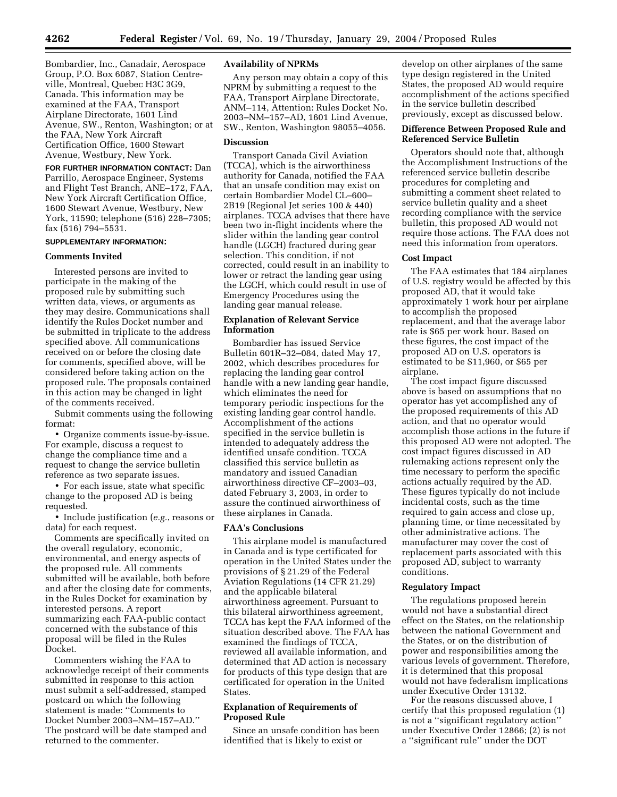Bombardier, Inc., Canadair, Aerospace Group, P.O. Box 6087, Station Centreville, Montreal, Quebec H3C 3G9, Canada. This information may be examined at the FAA, Transport Airplane Directorate, 1601 Lind Avenue, SW., Renton, Washington; or at the FAA, New York Aircraft Certification Office, 1600 Stewart Avenue, Westbury, New York.

**FOR FURTHER INFORMATION CONTACT:** Dan Parrillo, Aerospace Engineer, Systems and Flight Test Branch, ANE–172, FAA, New York Aircraft Certification Office, 1600 Stewart Avenue, Westbury, New York, 11590; telephone (516) 228–7305; fax (516) 794–5531.

# **SUPPLEMENTARY INFORMATION:**

### **Comments Invited**

Interested persons are invited to participate in the making of the proposed rule by submitting such written data, views, or arguments as they may desire. Communications shall identify the Rules Docket number and be submitted in triplicate to the address specified above. All communications received on or before the closing date for comments, specified above, will be considered before taking action on the proposed rule. The proposals contained in this action may be changed in light of the comments received.

Submit comments using the following format:

• Organize comments issue-by-issue. For example, discuss a request to change the compliance time and a request to change the service bulletin reference as two separate issues.

• For each issue, state what specific change to the proposed AD is being requested.

• Include justification (*e.g.*, reasons or data) for each request.

Comments are specifically invited on the overall regulatory, economic, environmental, and energy aspects of the proposed rule. All comments submitted will be available, both before and after the closing date for comments, in the Rules Docket for examination by interested persons. A report summarizing each FAA-public contact concerned with the substance of this proposal will be filed in the Rules Docket.

Commenters wishing the FAA to acknowledge receipt of their comments submitted in response to this action must submit a self-addressed, stamped postcard on which the following statement is made: ''Comments to Docket Number 2003–NM–157–AD.'' The postcard will be date stamped and returned to the commenter.

# **Availability of NPRMs**

Any person may obtain a copy of this NPRM by submitting a request to the FAA, Transport Airplane Directorate, ANM–114, Attention: Rules Docket No. 2003–NM–157–AD, 1601 Lind Avenue, SW., Renton, Washington 98055–4056.

# **Discussion**

Transport Canada Civil Aviation (TCCA), which is the airworthiness authority for Canada, notified the FAA that an unsafe condition may exist on certain Bombardier Model CL–600– 2B19 (Regional Jet series 100 & 440) airplanes. TCCA advises that there have been two in-flight incidents where the slider within the landing gear control handle (LGCH) fractured during gear selection. This condition, if not corrected, could result in an inability to lower or retract the landing gear using the LGCH, which could result in use of Emergency Procedures using the landing gear manual release.

# **Explanation of Relevant Service Information**

Bombardier has issued Service Bulletin 601R–32–084, dated May 17, 2002, which describes procedures for replacing the landing gear control handle with a new landing gear handle, which eliminates the need for temporary periodic inspections for the existing landing gear control handle. Accomplishment of the actions specified in the service bulletin is intended to adequately address the identified unsafe condition. TCCA classified this service bulletin as mandatory and issued Canadian airworthiness directive CF–2003–03, dated February 3, 2003, in order to assure the continued airworthiness of these airplanes in Canada.

#### **FAA's Conclusions**

This airplane model is manufactured in Canada and is type certificated for operation in the United States under the provisions of § 21.29 of the Federal Aviation Regulations (14 CFR 21.29) and the applicable bilateral airworthiness agreement. Pursuant to this bilateral airworthiness agreement, TCCA has kept the FAA informed of the situation described above. The FAA has examined the findings of TCCA, reviewed all available information, and determined that AD action is necessary for products of this type design that are certificated for operation in the United States.

# **Explanation of Requirements of Proposed Rule**

Since an unsafe condition has been identified that is likely to exist or

develop on other airplanes of the same type design registered in the United States, the proposed AD would require accomplishment of the actions specified in the service bulletin described previously, except as discussed below.

# **Difference Between Proposed Rule and Referenced Service Bulletin**

Operators should note that, although the Accomplishment Instructions of the referenced service bulletin describe procedures for completing and submitting a comment sheet related to service bulletin quality and a sheet recording compliance with the service bulletin, this proposed AD would not require those actions. The FAA does not need this information from operators.

# **Cost Impact**

The FAA estimates that 184 airplanes of U.S. registry would be affected by this proposed AD, that it would take approximately 1 work hour per airplane to accomplish the proposed replacement, and that the average labor rate is \$65 per work hour. Based on these figures, the cost impact of the proposed AD on U.S. operators is estimated to be \$11,960, or \$65 per airplane.

The cost impact figure discussed above is based on assumptions that no operator has yet accomplished any of the proposed requirements of this AD action, and that no operator would accomplish those actions in the future if this proposed AD were not adopted. The cost impact figures discussed in AD rulemaking actions represent only the time necessary to perform the specific actions actually required by the AD. These figures typically do not include incidental costs, such as the time required to gain access and close up, planning time, or time necessitated by other administrative actions. The manufacturer may cover the cost of replacement parts associated with this proposed AD, subject to warranty conditions.

## **Regulatory Impact**

The regulations proposed herein would not have a substantial direct effect on the States, on the relationship between the national Government and the States, or on the distribution of power and responsibilities among the various levels of government. Therefore, it is determined that this proposal would not have federalism implications under Executive Order 13132.

For the reasons discussed above, I certify that this proposed regulation (1) is not a ''significant regulatory action'' under Executive Order 12866; (2) is not a ''significant rule'' under the DOT